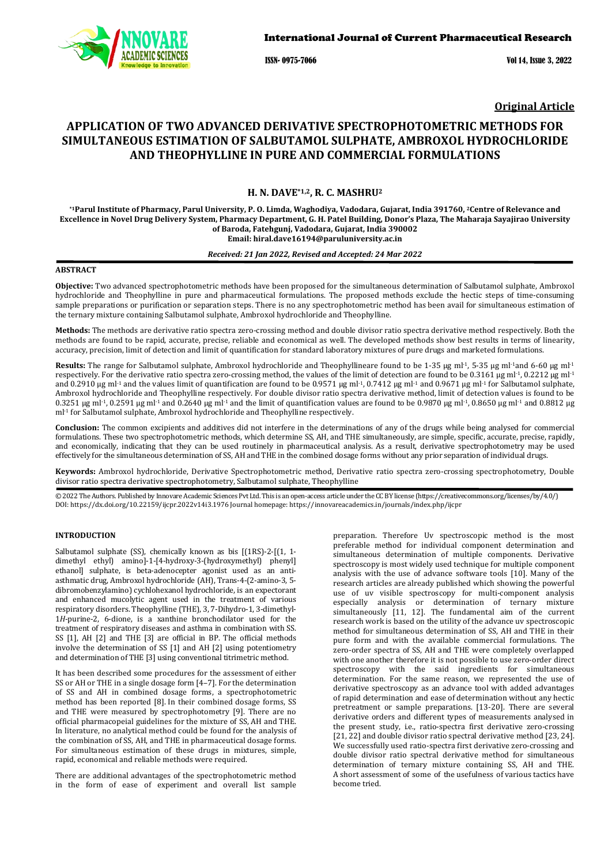

ISSN- 0975-7066 Vol 14, Issue 3, 2022

**Original Article**

# **APPLICATION OF TWO ADVANCED DERIVATIVE SPECTROPHOTOMETRIC METHODS FOR SIMULTANEOUS ESTIMATION OF SALBUTAMOL SULPHATE, AMBROXOL HYDROCHLORIDE AND THEOPHYLLINE IN PURE AND COMMERCIAL FORMULATIONS**

## **H. N. DAVE\*1,2, R. C. MASHRU2**

**\*1Parul Institute of Pharmacy, Parul University, P. O. Limda, Waghodiya, Vadodara, Gujarat, India 391760, 2Centre of Relevance and Excellence in Novel Drug Delivery System, Pharmacy Department, G. H. Patel Building, Donor's Plaza, The Maharaja Sayajirao University of Baroda, Fatehgunj, Vadodara, Gujarat, India 390002 Email: [hiral.dave16194@paruluniversity.ac.in](mailto:hiral.dave16194@paruluniversity.ac.in)**

# *Received: 21 Jan 2022, Revised and Accepted: 24 Mar 2022*

#### **ABSTRACT**

**Objective:** Two advanced spectrophotometric methods have been proposed for the simultaneous determination of Salbutamol sulphate, Ambroxol hydrochloride and Theophylline in pure and pharmaceutical formulations. The proposed methods exclude the hectic steps of time-consuming sample preparations or purification or separation steps. There is no any spectrophotometric method has been avail for simultaneous estimation of the ternary mixture containing Salbutamol sulphate, Ambroxol hydrochloride and Theophylline.

**Methods:** The methods are derivative ratio spectra zero-crossing method and double divisor ratio spectra derivative method respectively. Both the methods are found to be rapid, accurate, precise, reliable and economical as well. The developed methods show best results in terms of linearity, accuracy, precision, limit of detection and limit of quantification for standard laboratory mixtures of pure drugs and marketed formulations.

Results: The range for Salbutamol sulphate, Ambroxol hydrochloride and Theophyllineare found to be 1-35 µg ml<sup>-1</sup>, 5-35 µg ml<sup>-1</sup>and 6-60 µg ml<sup>-1</sup> respectively. For the derivative ratio spectra zero-crossing method, the values of the limit of detection are found to be 0.3161 µg ml<sup>-1</sup>, 0.2212 µg ml<sup>-1</sup> and 0.2910 µg ml<sup>-1</sup> and the values limit of quantification are found to be 0.9571 µg ml<sup>-1</sup>, 0.7412 µg ml<sup>-1</sup> and 0.9671 µg ml<sup>-1</sup> for Salbutamol sulphate, Ambroxol hydrochloride and Theophylline respectively. For double divisor ratio spectra derivative method, limit of detection values is found to be 0.3251  $\mu$ g ml<sup>-1</sup>, 0.2591  $\mu$ g ml<sup>-1</sup> and 0.2640  $\mu$ g ml<sup>-1</sup> and the limit of quantification values are found to be 0.9870  $\mu$ g ml<sup>-1</sup>, 0.8650  $\mu$ g ml<sup>-1</sup> and 0.8812  $\mu$ g ml-1 for Salbutamol sulphate, Ambroxol hydrochloride and Theophylline respectively.

**Conclusion:** The common excipients and additives did not interfere in the determinations of any of the drugs while being analysed for commercial formulations. These two spectrophotometric methods, which determine SS, AH, and THE simultaneously, are simple, specific, accurate, precise, rapidly, and economically, indicating that they can be used routinely in pharmaceutical analysis. As a result, derivative spectrophotometry may be used effectively for the simultaneous determination of SS, AH and THE in the combined dosage forms without any prior separation of individual drugs.

**Keywords:** Ambroxol hydrochloride, Derivative Spectrophotometric method, Derivative ratio spectra zero-crossing spectrophotometry, Double divisor ratio spectra derivative spectrophotometry, Salbutamol sulphate, Theophylline

© 2022 The Authors. Published by Innovare Academic Sciences Pvt Ltd. This is an open-access article under the CC BY license [\(https://creativecommons.org/licenses/by/4.0/\)](https://creativecommons.org/licenses/by/4.0/) DOI[: https://dx.doi.org/10.22159/ijcpr.2022v14i3.1](https://dx.doi.org/10.22159/ijcpr.2022v14i3)976 Journal homepage[: https://innovareacademics.in/journals/index.php/ijcpr](https://innovareacademics.in/journals/index.php/ijcpr)

## **INTRODUCTION**

Salbutamol sulphate (SS), chemically known as bis [(1RS)-2-[(1, 1 dimethyl ethyl) amino]-1-[4-hydroxy-3-(hydroxymethyl) phenyl] ethanol] sulphate, is beta-adenocepter agonist used as an antiasthmatic drug, Ambroxol hydrochloride (AH), Trans-4-(2-amino-3, 5 dibromobenzylamino) cychlohexanol hydrochloride, is an expectorant and enhanced mucolytic agent used in the treatment of various respiratory disorders. Theophylline (THE), 3, 7-Dihydro-1, 3-dimethyl-1*H*-purine-2, 6-dione, is a xanthine bronchodilator used for the treatment of respiratory diseases and asthma in combination with SS. SS [1], AH [2] and THE [3] are official in BP. The official methods involve the determination of SS [1] and AH [2] using potentiometry and determination of THE [3] using conventional titrimetric method.

It has been described some procedures for the assessment of either SS or AH or THE in a single dosage form [4–7]. For the determination of SS and AH in combined dosage forms, a spectrophotometric method has been reported [8]. In their combined dosage forms, SS and THE were measured by spectrophotometry [9]. There are no official pharmacopeial guidelines for the mixture of SS, AH and THE. In literature, no analytical method could be found for the analysis of the combination of SS, AH, and THE in pharmaceutical dosage forms. For simultaneous estimation of these drugs in mixtures, simple, rapid, economical and reliable methods were required.

There are additional advantages of the spectrophotometric method in the form of ease of experiment and overall list sample

preparation. Therefore Uv spectroscopic method is the most preferable method for individual component determination and simultaneous determination of multiple components. Derivative spectroscopy is most widely used technique for multiple component analysis with the use of advance software tools [10]. Many of the research articles are already published which showing the powerful use of uv visible spectroscopy for multi-component analysis especially analysis or determination of ternary mixture simultaneously [11, 12]. The fundamental aim of the current research work is based on the utility of the advance uv spectroscopic method for simultaneous determination of SS, AH and THE in their pure form and with the available commercial formulations. The zero-order spectra of SS, AH and THE were completely overlapped with one another therefore it is not possible to use zero-order direct spectroscopy with the said ingredients for simultaneous determination. For the same reason, we represented the use of derivative spectroscopy as an advance tool with added advantages of rapid determination and ease of determination without any hectic pretreatment or sample preparations. [13-20]. There are several derivative orders and different types of measurements analysed in the present study, i.e., ratio-spectra first derivative zero-crossing [21, 22] and double divisor ratio spectral derivative method [23, 24]. We successfully used ratio-spectra first derivative zero-crossing and double divisor ratio spectral derivative method for simultaneous determination of ternary mixture containing SS, AH and THE. A short assessment of some of the usefulness of various tactics have become tried.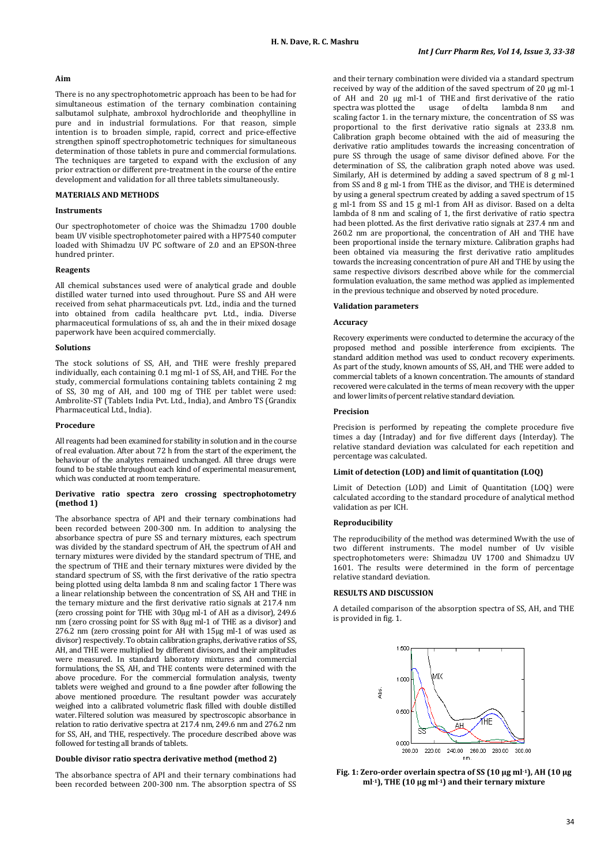## **Aim**

There is no any spectrophotometric approach has been to be had for simultaneous estimation of the ternary combination containing salbutamol sulphate, ambroxol hydrochloride and theophylline in pure and in industrial formulations. For that reason, simple intention is to broaden simple, rapid, correct and price-effective strengthen spinoff spectrophotometric techniques for simultaneous determination of those tablets in pure and commercial formulations. The techniques are targeted to expand with the exclusion of any prior extraction or different pre-treatment in the course of the entire development and validation for all three tablets simultaneously.

# **MATERIALS AND METHODS**

## **Instruments**

Our spectrophotometer of choice was the Shimadzu 1700 double beam UV visible spectrophotometer paired with a HP7540 computer loaded with Shimadzu UV PC software of 2.0 and an EPSON-three hundred printer.

#### **Reagents**

All chemical substances used were of analytical grade and double distilled water turned into used throughout. Pure SS and AH were received from sehat pharmaceuticals pvt. Ltd., india and the turned into obtained from cadila healthcare pvt. Ltd., india. Diverse pharmaceutical formulations of ss, ah and the in their mixed dosage paperwork have been acquired commercially.

#### **Solutions**

The stock solutions of SS, AH, and THE were freshly prepared individually, each containing 0.1 mg ml-1 of SS, AH, and THE. For the study, commercial formulations containing tablets containing 2 mg of SS, 30 mg of AH, and 100 mg of THE per tablet were used: Ambrolite-ST (Tablets India Pvt. Ltd., India), and Ambro TS (Grandix Pharmaceutical Ltd., India).

#### **Procedure**

All reagents had been examined for stability in solution and in the course of real evaluation. After about 72 h from the start of the experiment, the behaviour of the analytes remained unchanged. All three drugs were found to be stable throughout each kind of experimental measurement, which was conducted at room temperature.

#### **Derivative ratio spectra zero crossing spectrophotometry (method 1)**

The absorbance spectra of API and their ternary combinations had been recorded between 200-300 nm. In addition to analysing the absorbance spectra of pure SS and ternary mixtures, each spectrum was divided by the standard spectrum of AH, the spectrum of AH and ternary mixtures were divided by the standard spectrum of THE, and the spectrum of THE and their ternary mixtures were divided by the standard spectrum of SS, with the first derivative of the ratio spectra being plotted using delta lambda 8 nm and scaling factor 1 There was a linear relationship between the concentration of SS, AH and THE in the ternary mixture and the first derivative ratio signals at 217.4 nm (zero crossing point for THE with 30µg ml-1 of AH as a divisor), 249.6 nm (zero crossing point for SS with 8µg ml-1 of THE as a divisor) and 276.2 nm (zero crossing point for AH with 15µg ml-1 of was used as divisor) respectively. To obtain calibration graphs, derivative ratios of SS, AH, and THE were multiplied by different divisors, and their amplitudes were measured. In standard laboratory mixtures and commercial formulations, the SS, AH, and THE contents were determined with the above procedure. For the commercial formulation analysis, twenty tablets were weighed and ground to a fine powder after following the above mentioned procedure. The resultant powder was accurately weighed into a calibrated volumetric flask filled with double distilled water. Filtered solution was measured by spectroscopic absorbance in relation to ratio derivative spectra at 217.4 nm, 249.6 nm and 276.2 nm for SS, AH, and THE, respectively. The procedure described above was followed for testing all brands of tablets.

#### **Double divisor ratio spectra derivative method (method 2)**

The absorbance spectra of API and their ternary combinations had been recorded between 200-300 nm. The absorption spectra of SS and their ternary combination were divided via a standard spectrum received by way of the addition of the saved spectrum of 20 µg ml-1 of AH and 20 µg ml-1 of THE and first derivative of the ratio<br>spectra was plotted the usage of delta lambda 8 nm and spectra was plotted the usage scaling factor 1. in the ternary mixture, the concentration of SS was proportional to the first derivative ratio signals at 233.8 nm. Calibration graph become obtained with the aid of measuring the derivative ratio amplitudes towards the increasing concentration of pure SS through the usage of same divisor defined above. For the determination of SS, the calibration graph noted above was used. Similarly, AH is determined by adding a saved spectrum of 8 g ml-1 from SS and 8 g ml-1 from THE as the divisor, and THE is determined by using a general spectrum created by adding a saved spectrum of 15 g ml-1 from SS and 15 g ml-1 from AH as divisor. Based on a delta lambda of 8 nm and scaling of 1, the first derivative of ratio spectra had been plotted. As the first derivative ratio signals at 237.4 nm and 260.2 nm are proportional, the concentration of AH and THE have been proportional inside the ternary mixture. Calibration graphs had been obtained via measuring the first derivative ratio amplitudes towards the increasing concentration of pure AH and THE by using the same respective divisors described above while for the commercial formulation evaluation, the same method was applied as implemented in the previous technique and observed by noted procedure.

## **Validation parameters**

#### **Accuracy**

Recovery experiments were conducted to determine the accuracy of the proposed method and possible interference from excipients. The standard addition method was used to conduct recovery experiments. As part of the study, known amounts of SS, AH, and THE were added to commercial tablets of a known concentration. The amounts of standard recovered were calculated in the terms of mean recovery with the upper and lower limits of percent relative standard deviation*.*

## **Precision**

Precision is performed by repeating the complete procedure five times a day (Intraday) and for five different days (Interday). The relative standard deviation was calculated for each repetition and percentage was calculated.

#### **Limit of detection (LOD) and limit of quantitation (LOQ)**

Limit of Detection (LOD) and Limit of Quantitation (LOQ) were calculated according to the standard procedure of analytical method validation as per ICH.

## **Reproducibility**

The reproducibility of the method was determined Wwith the use of two different instruments. The model number of Uv visible spectrophotometers were: Shimadzu UV 1700 and Shimadzu UV 1601. The results were determined in the form of percentage relative standard deviation.

#### **RESULTS AND DISCUSSION**

A detailed comparison of the absorption spectra of SS, AH, and THE is provided in fig. 1.



**Fig. 1: Zero-order overlain spectra of SS (10 µg ml-1), AH (10 µg ml-1), THE (10 µg ml-1) and their ternary mixture**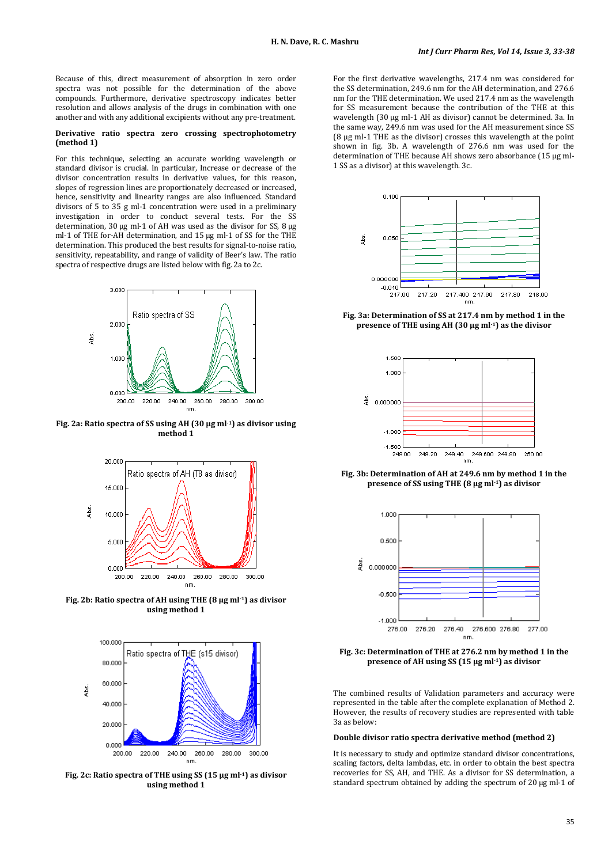Because of this, direct measurement of absorption in zero order spectra was not possible for the determination of the above compounds. Furthermore, derivative spectroscopy indicates better resolution and allows analysis of the drugs in combination with one another and with any additional excipients without any pre-treatment.

#### **Derivative ratio spectra zero crossing spectrophotometry (method 1)**

For this technique, selecting an accurate working wavelength or standard divisor is crucial. In particular, Increase or decrease of the divisor concentration results in derivative values, for this reason, slopes of regression lines are proportionately decreased or increased, hence, sensitivity and linearity ranges are also influenced. Standard divisors of 5 to 35 g ml-1 concentration were used in a preliminary investigation in order to conduct several tests. For the SS determination, 30 µg ml-1 of AH was used as the divisor for SS, 8 µg ml-1 of THE for-AH determination, and 15 µg ml-1 of SS for the THE determination. This produced the best results for signal-to-noise ratio, sensitivity, repeatability, and range of validity of Beer's law. The ratio spectra of respective drugs are listed below with fig. 2a to 2c.



**Fig. 2a: Ratio spectra of SS using AH (30 µg ml-1) as divisor using method 1**



**Fig. 2b: Ratio spectra of AH using THE (8 µg ml-1) as divisor using method 1**



**Fig. 2c: Ratio spectra of THE using SS (15 µg ml-1) as divisor using method 1**

For the first derivative wavelengths, 217.4 nm was considered for the SS determination, 249.6 nm for the AH determination, and 276.6 nm for the THE determination. We used 217.4 nm as the wavelength for SS measurement because the contribution of the THE at this wavelength (30 µg ml-1 AH as divisor) cannot be determined. 3a. In the same way, 249.6 nm was used for the AH measurement since SS (8 µg ml-1 THE as the divisor) crosses this wavelength at the point shown in fig. 3b. A wavelength of 276.6 nm was used for the determination of THE because AH shows zero absorbance (15 µg ml-1 SS as a divisor) at this wavelength. 3c.



**Fig. 3a: Determination of SS at 217.4 nm by method 1 in the presence of THE using AH (30 µg ml-1) as the divisor**



**Fig. 3b: Determination of AH at 249.6 nm by method 1 in the presence of SS using THE (8 µg ml-1) as divisor**



**Fig. 3c: Determination of THE at 276.2 nm by method 1 in the presence of AH using SS (15 µg ml-1) as divisor**

The combined results of Validation parameters and accuracy were represented in the table after the complete explanation of Method 2. However, the results of recovery studies are represented with table 3a as below:

#### **Double divisor ratio spectra derivative method (method 2)**

It is necessary to study and optimize standard divisor concentrations, scaling factors, delta lambdas, etc. in order to obtain the best spectra recoveries for SS, AH, and THE. As a divisor for SS determination, a standard spectrum obtained by adding the spectrum of 20 µg ml-1 of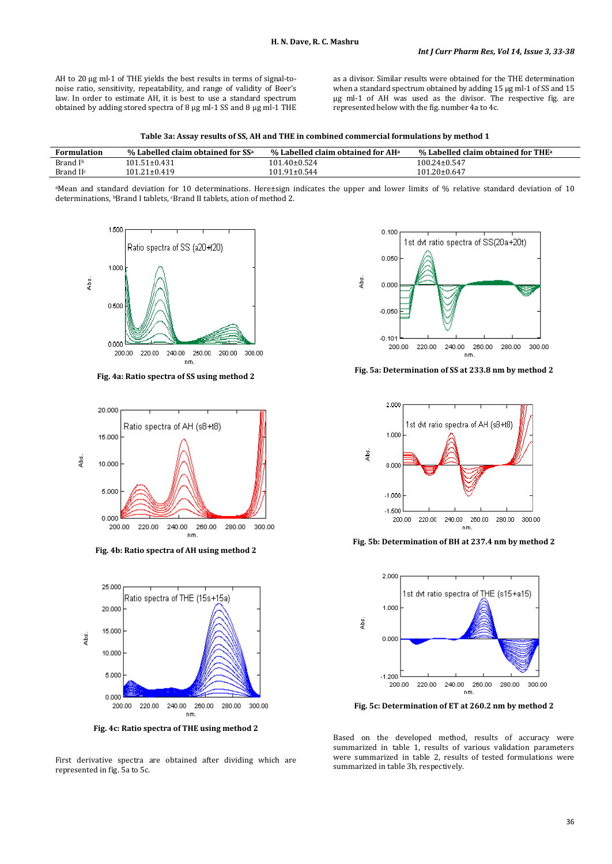AH to 20 µg ml-1 of THE yields the best results in terms of signal-tonoise ratio, sensitivity, repeatability, and range of validity of Beer's law. In order to estimate AH, it is best to use a standard spectrum obtained by adding stored spectra of 8 µg ml-1 SS and 8 µg ml-1 THE

as a divisor. Similar results were obtained for the THE determination when a standard spectrum obtained by adding 15 µg ml-1 of SS and 15 µg ml-1 of AH was used as the divisor. The respective fig. are represented below with the fig. number 4a to 4c.

| Formulation          | % Labelled claim obtained for $SS^a$ | % Labelled claim obtained for $AH^a$ | $\%$ Labelled claim obtained for THE $^{\rm a}$ |
|----------------------|--------------------------------------|--------------------------------------|-------------------------------------------------|
| Brand I <sup>b</sup> | 101.51±0.431                         | 101.40±0.524                         | $100.24 \pm 0.547$                              |
| Brand $\mathbf{H}^c$ | $101.21 \pm 0.419$                   | $101.91 \pm 0.544$                   | $101.20 \pm 0.647$                              |

aMean and standard deviation for 10 determinations. Here±sign indicates the upper and lower limits of % relative standard deviation of 10 determinations, <sup>b</sup>Brand I tablets, <sup>c</sup>Brand II tablets, ation of method 2.



**Fig. 4a: Ratio spectra of SS using method 2**



**Fig. 4b: Ratio spectra of AH using method 2**



**Fig. 4c: Ratio spectra of THE using method 2**

First derivative spectra are obtained after dividing which are represented in fig. 5a to 5c.



**Fig. 5a: Determination of SS at 233.8 nm by method 2**



**Fig. 5b: Determination of BH at 237.4 nm by method 2**



**Fig. 5c: Determination of ET at 260.2 nm by method 2**

Based on the developed method, results of accuracy were summarized in table 1, results of various validation parameters were summarized in table 2, results of tested formulations were summarized in table 3b, respectively.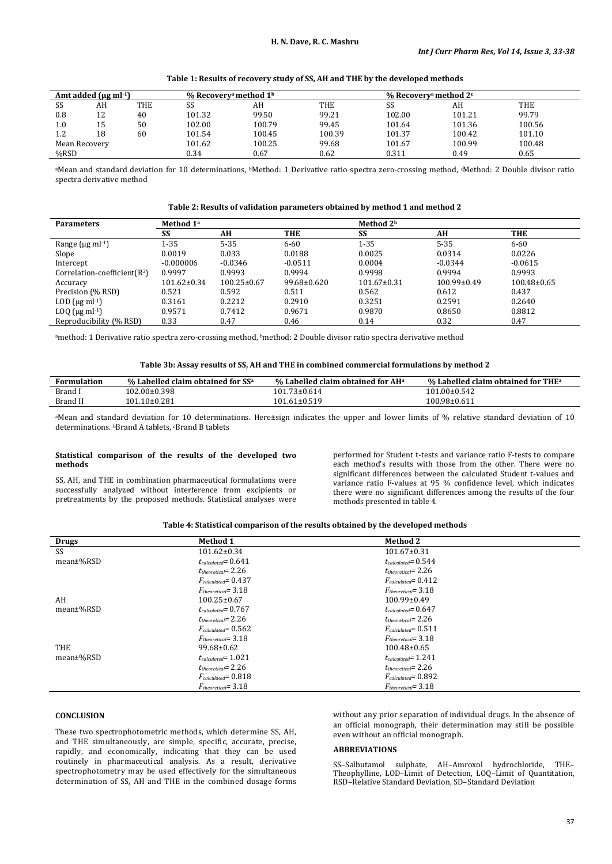**Table 1: Results of recovery study of SS, AH and THE by the developed methods**

|               | Amt added $(\mu \rho m^{1})$ |     | % Recovery <sup>a</sup> method $1b$ |        |        | % Recovery <sup>a</sup> method $2c$ |        |        |  |
|---------------|------------------------------|-----|-------------------------------------|--------|--------|-------------------------------------|--------|--------|--|
| SS            | AH                           | THE | SS                                  | AH     | THE    | SS                                  | AH     | THE    |  |
| 0.8           | 12                           | 40  | 101.32                              | 99.50  | 99.21  | 102.00                              | 101.21 | 99.79  |  |
| 1.0           | 15                           | 50  | 102.00                              | 100.79 | 99.45  | 101.64                              | 101.36 | 100.56 |  |
| 1.2           | 18                           | 60  | 101.54                              | 100.45 | 100.39 | 101.37                              | 100.42 | 101.10 |  |
| Mean Recovery |                              |     | 101.62                              | 100.25 | 99.68  | 101.67                              | 100.99 | 100.48 |  |
| %RSD          |                              |     | 0.34                                | 0.67   | 0.62   | 0.311                               | 0.49   | 0.65   |  |

aMean and standard deviation for 10 determinations, <sup>b</sup>Method: 1 Derivative ratio spectra zero-crossing method, <sup>c</sup>Method: 2 Double divisor ratio spectra derivative method

**Table 2: Results of validation parameters obtained by method 1 and method 2**

| <b>Parameters</b>                  | Method 1 <sup>a</sup> |                   |                   | Method 2 <sup>b</sup> |                   |                 |
|------------------------------------|-----------------------|-------------------|-------------------|-----------------------|-------------------|-----------------|
|                                    | SS                    | AH                | THE               | SS                    | AH                | <b>THE</b>      |
| Range ( $\mu$ g ml· <sup>1</sup> ) | $1 - 35$              | $5 - 35$          | $6 - 60$          | 1-35                  | $5 - 35$          | $6 - 60$        |
| Slope                              | 0.0019                | 0.033             | 0.0188            | 0.0025                | 0.0314            | 0.0226          |
| Intercept                          | $-0.000006$           | $-0.0346$         | $-0.0511$         | 0.0004                | $-0.0344$         | $-0.0615$       |
| Correlation-coefficient $(R^2)$    | 0.9997                | 0.9993            | 0.9994            | 0.9998                | 0.9994            | 0.9993          |
| Accuracy                           | $101.62 \pm 0.34$     | $100.25 \pm 0.67$ | $99.68 \pm 0.620$ | $101.67 \pm 0.31$     | $100.99 \pm 0.49$ | $100.48\pm0.65$ |
| Precision (% RSD)                  | 0.521                 | 0.592             | 0.511             | 0.562                 | 0.612             | 0.437           |
| LOD $(\mu g \text{ ml-1})$         | 0.3161                | 0.2212            | 0.2910            | 0.3251                | 0.2591            | 0.2640          |
| LOQ $(\mu g \text{ ml-1})$         | 0.9571                | 0.7412            | 0.9671            | 0.9870                | 0.8650            | 0.8812          |
| Reproducibility (% RSD)            | 0.33                  | 0.47              | 0.46              | 0.14                  | 0.32              | 0.47            |

<sup>a</sup>method: 1 Derivative ratio spectra zero-crossing method, <sup>b</sup>method: 2 Double divisor ratio spectra derivative method

#### **Table 3b: Assay results of SS, AH and THE in combined commercial formulations by method 2**

| <b>Formulation</b> | $%$ Labelled claim obtained for SS <sup>a</sup> | % Labelled claim obtained for $AH^a$ | % Labelled claim obtained for THE <sup>a</sup> |
|--------------------|-------------------------------------------------|--------------------------------------|------------------------------------------------|
| Brand I            | $102.00 \pm 0.398$                              | $101.73 \pm 0.614$                   | $101.00 \pm 0.542$                             |
| Brand II           | $101.10\pm0.281$                                | 101.61±0.519                         | 100.98±0.611                                   |

<sup>a</sup>Mean and standard deviation for 10 determinations. Here±sign indicates the upper and lower limits of % relative standard deviation of 10 determinations. **bBrand A tablets**, **cBrand B tablets** 

## **Statistical comparison of the results of the developed two methods**

SS, AH, and THE in combination pharmaceutical formulations were successfully analyzed without interference from excipients or pretreatments by the proposed methods. Statistical analyses were

performed for Student t-tests and variance ratio F-tests to compare each method's results with those from the other. There were no significant differences between the calculated Student t-values and variance ratio F-values at 95 % confidence level, which indicates there were no significant differences among the results of the four methods presented in table 4.

## **Table 4: Statistical comparison of the results obtained by the developed methods**

| <b>Drugs</b> | <b>Method 1</b>          | <b>Method 2</b>          |
|--------------|--------------------------|--------------------------|
| <b>SS</b>    | $101.62 \pm 0.34$        | $101.67 \pm 0.31$        |
| mean±%RSD    | $t_{calculated} = 0.641$ | $t_{calculated} = 0.544$ |
|              | $t_{theoretical}$ = 2.26 | $t_{theoretical} = 2.26$ |
|              | $F_{calculated} = 0.437$ | $F_{calculated} = 0.412$ |
|              | $F_{theoretical} = 3.18$ | $F_{theoretical} = 3.18$ |
| AH           | $100.25 \pm 0.67$        | $100.99 \pm 0.49$        |
| mean±%RSD    | $t_{calculated} = 0.767$ | $t_{calculated} = 0.647$ |
|              | $t_{theoretical} = 2.26$ | $t_{theoretical} = 2.26$ |
|              | $F_{calculated} = 0.562$ | $F_{calculated} = 0.511$ |
|              | $F_{theoretical} = 3.18$ | $F_{theoretical} = 3.18$ |
| THE          | $99.68 \pm 0.62$         | $100.48 \pm 0.65$        |
| mean±%RSD    | $t_{calculated} = 1.021$ | $t_{calculated} = 1.241$ |
|              | $t_{theoretical}$ = 2.26 | $t_{theoretical}$ = 2.26 |
|              | $F_{calculated} = 0.818$ | $F_{calculated} = 0.892$ |
|              | $F_{theoretical} = 3.18$ | $F_{theoretical} = 3.18$ |

## **CONCLUSION**

These two spectrophotometric methods, which determine SS, AH, and THE simultaneously, are simple, specific, accurate, precise, rapidly, and economically, indicating that they can be used routinely in pharmaceutical analysis. As a result, derivative spectrophotometry may be used effectively for the simultaneous determination of SS, AH and THE in the combined dosage forms without any prior separation of individual drugs. In the absence of an official monograph, their determination may still be possible even without an official monograph.

## **ABBREVIATIONS**

SS–Salbutamol sulphate, AH–Amroxol hydrochloride, THE– Theophylline, LOD–Limit of Detection, LOQ–Limit of Quantitation, RSD–Relative Standard Deviation, SD–Standard Deviation